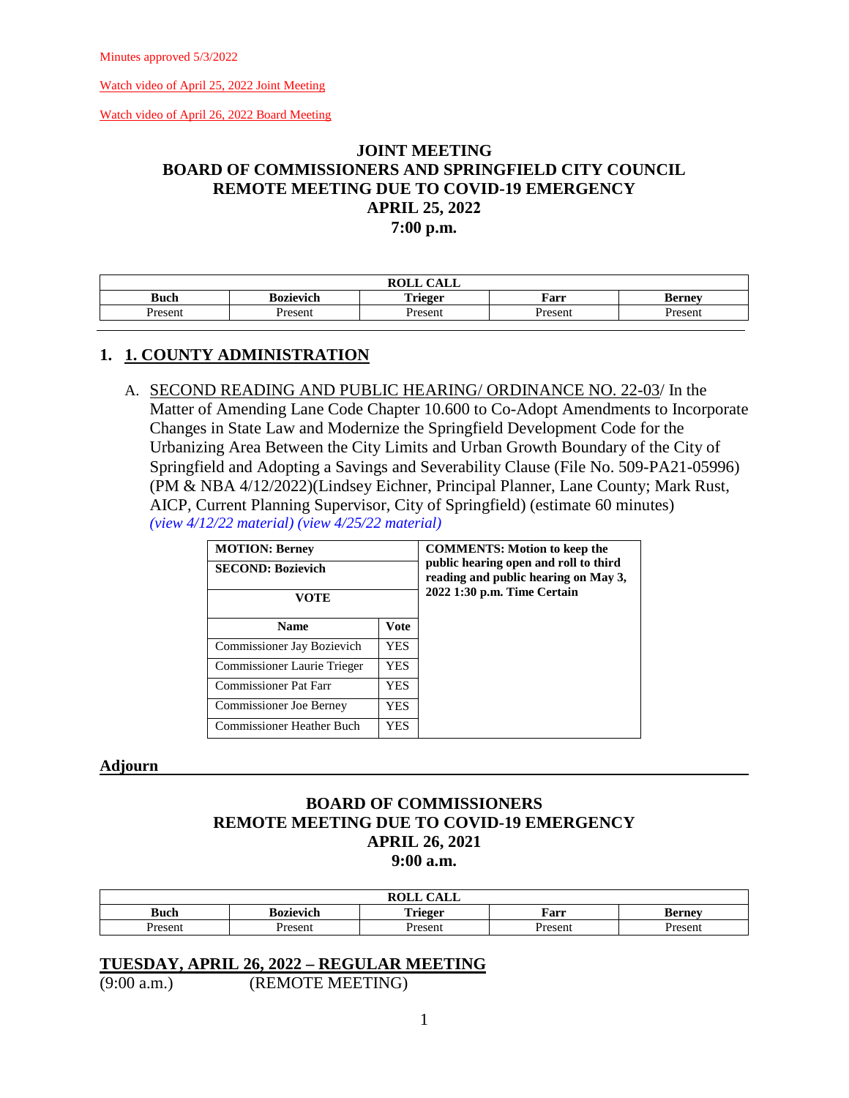[Watch video of April 26, 2022 Board Meeting](https://lanecounty.org/cms/One.aspx?portalId=3585881&pageId=7842434)

# **JOINT MEETING BOARD OF COMMISSIONERS AND SPRINGFIELD CITY COUNCIL REMOTE MEETING DUE TO COVID-19 EMERGENCY APRIL 25, 2022 7:00 p.m.**

| <b>ROLL</b><br>$\bigcap$ A T T<br>ىست |                         |                |         |               |  |
|---------------------------------------|-------------------------|----------------|---------|---------------|--|
| <b>Buch</b>                           | . .<br><b>Bozievich</b> | <b>Trieger</b> | Farr    | <b>Berney</b> |  |
| Present                               | Present                 | Present        | Present | Present       |  |

### **1. 1. COUNTY ADMINISTRATION**

A. SECOND READING AND PUBLIC HEARING/ ORDINANCE NO. 22-03/ In the Matter of Amending Lane Code Chapter 10.600 to Co-Adopt Amendments to Incorporate Changes in State Law and Modernize the Springfield Development Code for the Urbanizing Area Between the City Limits and Urban Growth Boundary of the City of Springfield and Adopting a Savings and Severability Clause (File No. 509-PA21-05996) (PM & NBA 4/12/2022)(Lindsey Eichner, Principal Planner, Lane County; Mark Rust, AICP, Current Planning Supervisor, City of Springfield) (estimate 60 minutes) *[\(view 4/12/22 material\)](http://www.lanecountyor.gov/UserFiles/Servers/Server_3585797/File/Government/BCC/2022/2022_AGENDAS/041222agenda/T.13.B.pdf) [\(view 4/25/22 material\)](http://www.lanecountyor.gov/UserFiles/Servers/Server_3585797/File/Government/BCC/2022/2022_AGENDAS/042622agenda/M.1.A.pdf)* 

| <b>MOTION: Berney</b><br><b>SECOND: Bozievich</b><br>VOTE |             | <b>COMMENTS: Motion to keep the</b><br>public hearing open and roll to third<br>reading and public hearing on May 3,<br>2022 1:30 p.m. Time Certain |
|-----------------------------------------------------------|-------------|-----------------------------------------------------------------------------------------------------------------------------------------------------|
| <b>Name</b>                                               | <b>Vote</b> |                                                                                                                                                     |
| Commissioner Jay Bozievich                                | YES         |                                                                                                                                                     |
| Commissioner Laurie Trieger                               | YES.        |                                                                                                                                                     |
| <b>Commissioner Pat Farr</b>                              | YES.        |                                                                                                                                                     |
| <b>Commissioner Joe Berney</b>                            | YES         |                                                                                                                                                     |
| <b>Commissioner Heather Buch</b>                          | YES         |                                                                                                                                                     |

#### **Adjourn**

# **BOARD OF COMMISSIONERS REMOTE MEETING DUE TO COVID-19 EMERGENCY APRIL 26, 2021 9:00 a.m.**

| $\sqrt{1 + \pi}$<br><b>ROLL</b><br><b>CALL</b> |           |                         |         |               |
|------------------------------------------------|-----------|-------------------------|---------|---------------|
| Buch                                           | Bozievich | Trieger<br><b>ALLEL</b> | Farr    | <b>Berney</b> |
| <b>Present</b>                                 | Present   | <b>Presen</b>           | Present | Jracan        |

### **TUESDAY, APRIL 26, 2022 – REGULAR MEETING**

(9:00 a.m.) (REMOTE MEETING)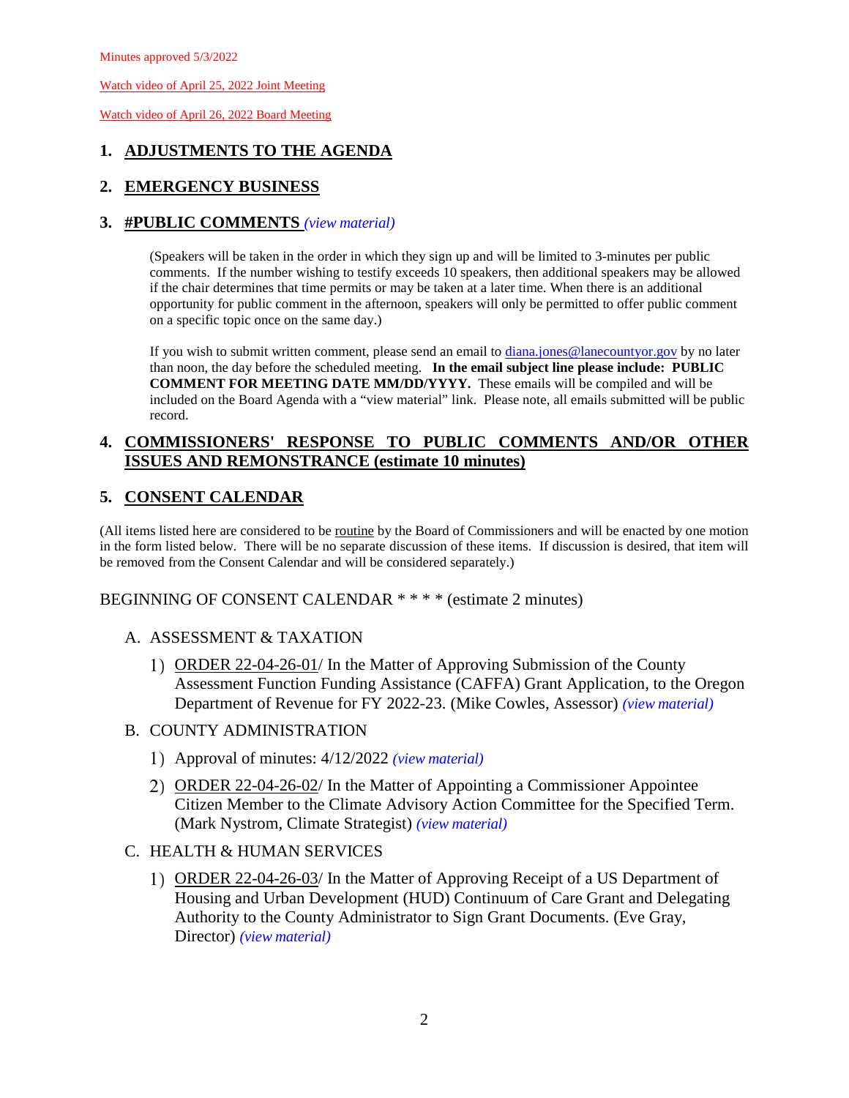[Watch video of April 26, 2022 Board Meeting](https://lanecounty.org/cms/One.aspx?portalId=3585881&pageId=7842434)

# **1. ADJUSTMENTS TO THE AGENDA**

# **2. EMERGENCY BUSINESS**

### **3. #PUBLIC COMMENTS** *(view [material\)](http://www.lanecountyor.gov/UserFiles/Servers/Server_3585797/File/Government/BCC/2022/2022_AGENDAS/042622agenda/T.3.pdf)*

(Speakers will be taken in the order in which they sign up and will be limited to 3-minutes per public comments. If the number wishing to testify exceeds 10 speakers, then additional speakers may be allowed if the chair determines that time permits or may be taken at a later time. When there is an additional opportunity for public comment in the afternoon, speakers will only be permitted to offer public comment on a specific topic once on the same day.)

If you wish to submit written comment, please send an email to [diana.jones@lanecountyor.gov](mailto:diana.jones@lanecountyor.gov) by no later than noon, the day before the scheduled meeting. **In the email subject line please include: PUBLIC COMMENT FOR MEETING DATE MM/DD/YYYY.** These emails will be compiled and will be included on the Board Agenda with a "view material" link. Please note, all emails submitted will be public record.

## **4. COMMISSIONERS' RESPONSE TO PUBLIC COMMENTS AND/OR OTHER ISSUES AND REMONSTRANCE (estimate 10 minutes)**

# **5. CONSENT CALENDAR**

(All items listed here are considered to be routine by the Board of Commissioners and will be enacted by one motion in the form listed below. There will be no separate discussion of these items. If discussion is desired, that item will be removed from the Consent Calendar and will be considered separately.)

### BEGINNING OF CONSENT CALENDAR \* \* \* \* (estimate 2 minutes)

### A. ASSESSMENT & TAXATION

- ORDER 22-04-26-01/ In the Matter of Approving Submission of the County Assessment Function Funding Assistance (CAFFA) Grant Application, to the Oregon Department of Revenue for FY 2022-23. (Mike Cowles, Assessor) *(view [material\)](http://www.lanecountyor.gov/UserFiles/Servers/Server_3585797/File/Government/BCC/2022/2022_AGENDAS/042622agenda/T.5.A.1.pdf)*
- B. COUNTY ADMINISTRATION
	- Approval of minutes: 4/12/2022 *(view [material\)](http://www.lanecountyor.gov/UserFiles/Servers/Server_3585797/File/Government/BCC/2022/2022_AGENDAS/042622agenda/T.5.B.1.pdf)*
	- 2) ORDER 22-04-26-02/ In the Matter of Appointing a Commissioner Appointee Citizen Member to the Climate Advisory Action Committee for the Specified Term. (Mark Nystrom, Climate Strategist) *(view [material\)](http://www.lanecountyor.gov/UserFiles/Servers/Server_3585797/File/Government/BCC/2022/2022_AGENDAS/042622agenda/T.5.B.2.pdf)*
- C. HEALTH & HUMAN SERVICES
	- ORDER 22-04-26-03/ In the Matter of Approving Receipt of a US Department of Housing and Urban Development (HUD) Continuum of Care Grant and Delegating Authority to the County Administrator to Sign Grant Documents. (Eve Gray, Director) *(view [material\)](http://www.lanecountyor.gov/UserFiles/Servers/Server_3585797/File/Government/BCC/2022/2022_AGENDAS/042622agenda/T.5.C.1.pdf)*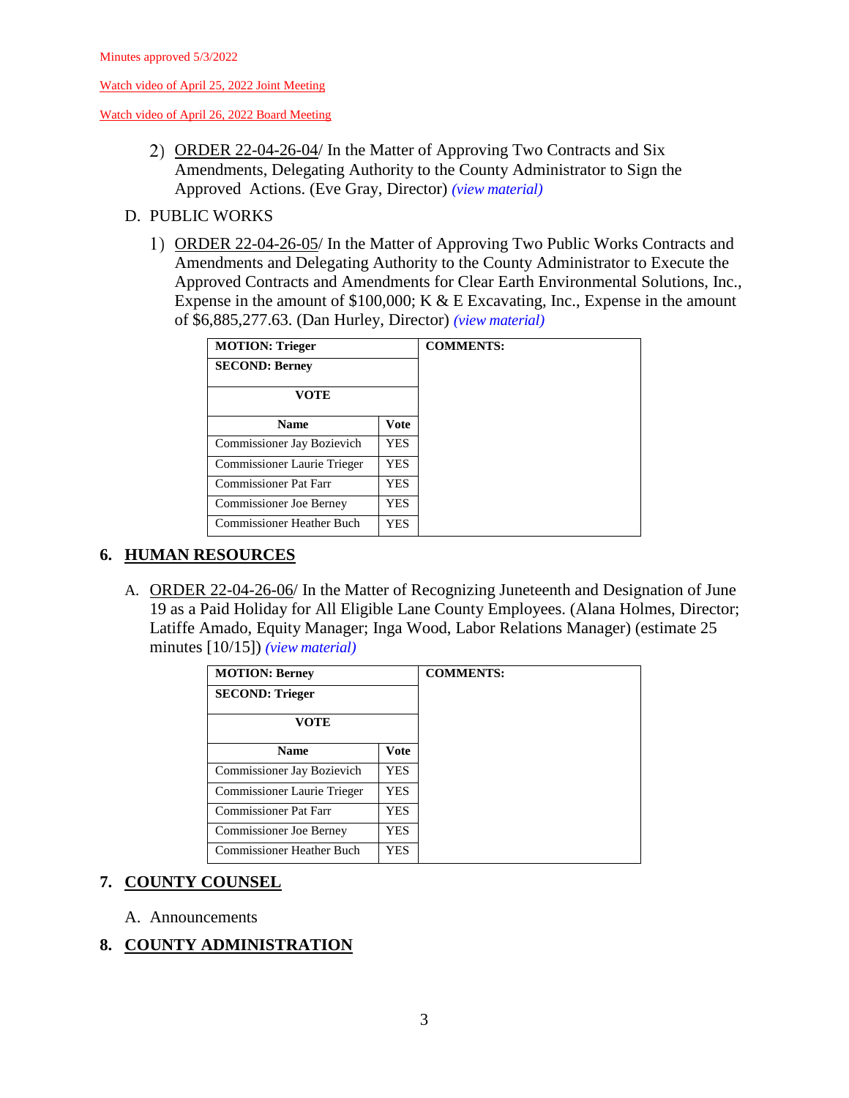[Watch video of April 26, 2022 Board Meeting](https://lanecounty.org/cms/One.aspx?portalId=3585881&pageId=7842434)

- 2) ORDER 22-04-26-04/ In the Matter of Approving Two Contracts and Six Amendments, Delegating Authority to the County Administrator to Sign the Approved Actions. (Eve Gray, Director) *(view [material\)](http://www.lanecountyor.gov/UserFiles/Servers/Server_3585797/File/Government/BCC/2022/2022_AGENDAS/042622agenda/T.5.C.2.pdf)*
- D. PUBLIC WORKS
	- 1) ORDER 22-04-26-05/ In the Matter of Approving Two Public Works Contracts and Amendments and Delegating Authority to the County Administrator to Execute the Approved Contracts and Amendments for Clear Earth Environmental Solutions, Inc., Expense in the amount of \$100,000; K & E Excavating, Inc., Expense in the amount of \$6,885,277.63. (Dan Hurley, Director) *(view [material\)](http://www.lanecountyor.gov/UserFiles/Servers/Server_3585797/File/Government/BCC/2022/2022_AGENDAS/042622agenda/T.5.D.1.pdf)*

| <b>MOTION: Trieger</b>           |             | <b>COMMENTS:</b> |
|----------------------------------|-------------|------------------|
| <b>SECOND: Berney</b>            |             |                  |
| <b>VOTE</b>                      |             |                  |
| <b>Name</b>                      | <b>Vote</b> |                  |
| Commissioner Jay Bozievich       | <b>YES</b>  |                  |
| Commissioner Laurie Trieger      | YES.        |                  |
| <b>Commissioner Pat Farr</b>     | YES         |                  |
| <b>Commissioner Joe Berney</b>   | YES         |                  |
| <b>Commissioner Heather Buch</b> | YES         |                  |

# **6. HUMAN RESOURCES**

A. ORDER 22-04-26-06/ In the Matter of Recognizing Juneteenth and Designation of June 19 as a Paid Holiday for All Eligible Lane County Employees. (Alana Holmes, Director; Latiffe Amado, Equity Manager; Inga Wood, Labor Relations Manager) (estimate 25 minutes [10/15]) *(view [material\)](http://www.lanecountyor.gov/UserFiles/Servers/Server_3585797/File/Government/BCC/2022/2022_AGENDAS/042622agenda/T.6.A.pdf)*

| <b>MOTION: Berney</b>            |            |
|----------------------------------|------------|
| <b>SECOND: Trieger</b>           |            |
| <b>VOTE</b>                      |            |
| <b>Name</b>                      | Vote       |
| Commissioner Jay Bozievich       | <b>YES</b> |
| Commissioner Laurie Trieger      | <b>YES</b> |
| <b>Commissioner Pat Farr</b>     | YES.       |
| <b>Commissioner Joe Berney</b>   | <b>YES</b> |
| <b>Commissioner Heather Buch</b> | <b>YES</b> |

# **7. COUNTY COUNSEL**

A. Announcements

# **8. COUNTY ADMINISTRATION**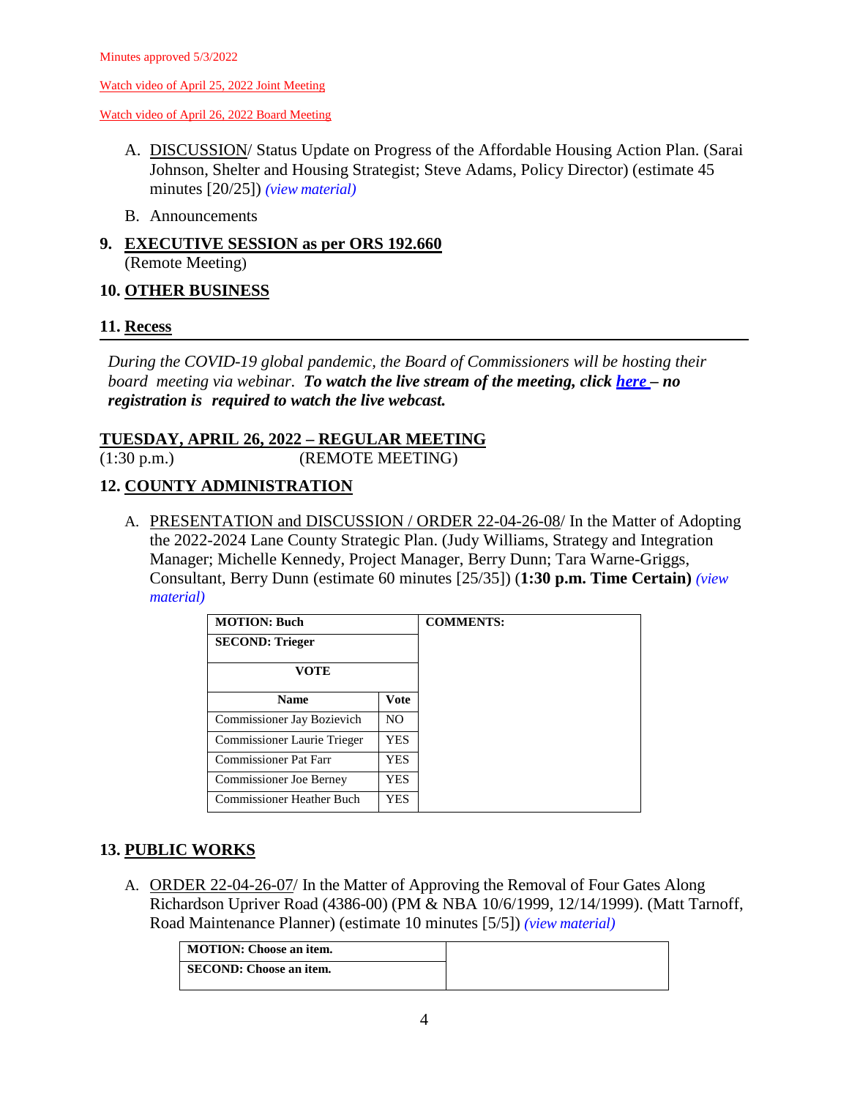[Watch video of April 26, 2022 Board Meeting](https://lanecounty.org/cms/One.aspx?portalId=3585881&pageId=7842434)

- A. DISCUSSION/ Status Update on Progress of the Affordable Housing Action Plan. (Sarai Johnson, Shelter and Housing Strategist; Steve Adams, Policy Director) (estimate 45 minutes [20/25]) *(view [material\)](http://www.lanecountyor.gov/UserFiles/Servers/Server_3585797/File/Government/BCC/2022/2022_AGENDAS/042622agenda/T.8.A.pdf)*
- B. Announcements
- **9. EXECUTIVE SESSION as per ORS 192.660** (Remote Meeting)

### **10. OTHER BUSINESS**

### **11. Recess**

*During the COVID-19 global pandemic, the Board of Commissioners will be hosting their board meeting via webinar. To watch the live stream of the meeting, click [here](https://lanecounty.org/cms/One.aspx?portalId=3585881&pageId=7842434) – no registration is required to watch the live webcast.* 

### **TUESDAY, APRIL 26, 2022 – REGULAR MEETING**

(1:30 p.m.) (REMOTE MEETING)

# **12. COUNTY ADMINISTRATION**

A. PRESENTATION and DISCUSSION / ORDER 22-04-26-08/ In the Matter of Adopting the 2022-2024 Lane County Strategic Plan. (Judy Williams, Strategy and Integration Manager; Michelle Kennedy, Project Manager, Berry Dunn; Tara Warne-Griggs, Consultant, Berry Dunn (estimate 60 minutes [25/35]) (**1:30 p.m. Time Certain)** *[\(view](http://www.lanecountyor.gov/UserFiles/Servers/Server_3585797/File/Government/BCC/2022/2022_AGENDAS/042622agenda/T.12.A.pdf) [material\)](http://www.lanecountyor.gov/UserFiles/Servers/Server_3585797/File/Government/BCC/2022/2022_AGENDAS/042622agenda/T.12.A.pdf)*

| <b>MOTION: Buch</b>              |                | <b>COMMENTS:</b> |
|----------------------------------|----------------|------------------|
| <b>SECOND: Trieger</b>           |                |                  |
| <b>VOTE</b>                      |                |                  |
| <b>Name</b>                      | Vote           |                  |
| Commissioner Jay Bozievich       | N <sub>O</sub> |                  |
| Commissioner Laurie Trieger      | YES.           |                  |
| <b>Commissioner Pat Farr</b>     | YES            |                  |
| <b>Commissioner Joe Berney</b>   | YES            |                  |
| <b>Commissioner Heather Buch</b> | YES            |                  |

# **13. PUBLIC WORKS**

A. ORDER 22-04-26-07/ In the Matter of Approving the Removal of Four Gates Along Richardson Upriver Road (4386-00) (PM & NBA 10/6/1999, 12/14/1999). (Matt Tarnoff, Road Maintenance Planner) (estimate 10 minutes [5/5]) *(view [material\)](http://www.lanecountyor.gov/UserFiles/Servers/Server_3585797/File/Government/BCC/2022/2022_AGENDAS/042622agenda/T.13.A.pdf)*

| MOTION: Choose an item. |
|-------------------------|
| SECOND: Choose an item. |
|                         |